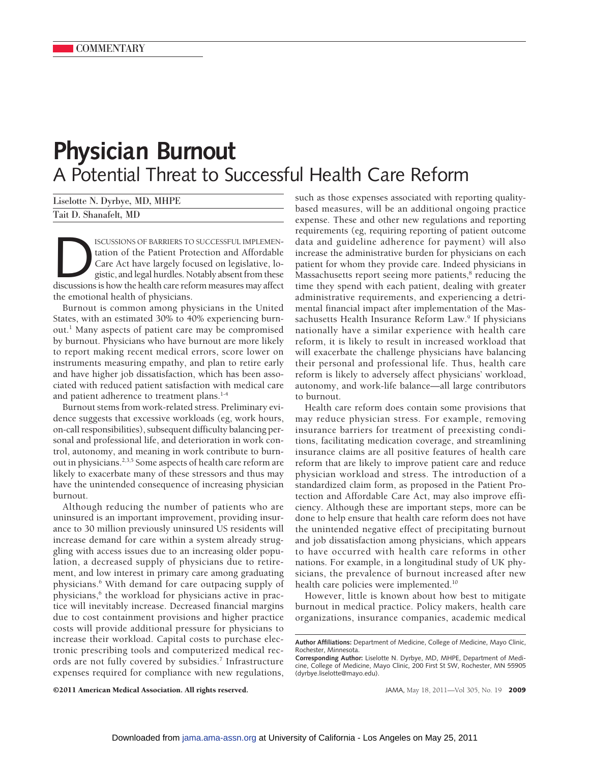## **Physician Burnout** A Potential Threat to Successful Health Care Reform

Liselotte N. Dyrbye, MD, MHPE Tait D. Shanafelt, MD

ISCUSSIONS OF BARRIERS TO SUCCESSFUL IMPLEMEN-<br>tation of the Patient Protection and Affordable<br>Care Act have largely focused on legislative, lo-<br>gistic, and legal hurdles. Notably absent from these<br>discussions is how the h tation of the Patient Protection and Affordable Care Act have largely focused on legislative, logistic, and legal hurdles. Notably absent from these the emotional health of physicians.

Burnout is common among physicians in the United States, with an estimated 30% to 40% experiencing burnout.1 Many aspects of patient care may be compromised by burnout. Physicians who have burnout are more likely to report making recent medical errors, score lower on instruments measuring empathy, and plan to retire early and have higher job dissatisfaction, which has been associated with reduced patient satisfaction with medical care and patient adherence to treatment plans.<sup>1-4</sup>

Burnout stems from work-related stress. Preliminary evidence suggests that excessive workloads (eg, work hours, on-call responsibilities), subsequent difficulty balancing personal and professional life, and deterioration in work control, autonomy, and meaning in work contribute to burnout in physicians.2,3,5 Some aspects of health care reform are likely to exacerbate many of these stressors and thus may have the unintended consequence of increasing physician burnout.

Although reducing the number of patients who are uninsured is an important improvement, providing insurance to 30 million previously uninsured US residents will increase demand for care within a system already struggling with access issues due to an increasing older population, a decreased supply of physicians due to retirement, and low interest in primary care among graduating physicians.6 With demand for care outpacing supply of physicians,<sup>6</sup> the workload for physicians active in practice will inevitably increase. Decreased financial margins due to cost containment provisions and higher practice costs will provide additional pressure for physicians to increase their workload. Capital costs to purchase electronic prescribing tools and computerized medical records are not fully covered by subsidies.<sup>7</sup> Infrastructure expenses required for compliance with new regulations, such as those expenses associated with reporting qualitybased measures, will be an additional ongoing practice expense. These and other new regulations and reporting requirements (eg, requiring reporting of patient outcome data and guideline adherence for payment) will also increase the administrative burden for physicians on each patient for whom they provide care. Indeed physicians in Massachusetts report seeing more patients,<sup>8</sup> reducing the time they spend with each patient, dealing with greater administrative requirements, and experiencing a detrimental financial impact after implementation of the Massachusetts Health Insurance Reform Law.<sup>9</sup> If physicians nationally have a similar experience with health care reform, it is likely to result in increased workload that will exacerbate the challenge physicians have balancing their personal and professional life. Thus, health care reform is likely to adversely affect physicians' workload, autonomy, and work-life balance—all large contributors to burnout.

Health care reform does contain some provisions that may reduce physician stress. For example, removing insurance barriers for treatment of preexisting conditions, facilitating medication coverage, and streamlining insurance claims are all positive features of health care reform that are likely to improve patient care and reduce physician workload and stress. The introduction of a standardized claim form, as proposed in the Patient Protection and Affordable Care Act, may also improve efficiency. Although these are important steps, more can be done to help ensure that health care reform does not have the unintended negative effect of precipitating burnout and job dissatisfaction among physicians, which appears to have occurred with health care reforms in other nations. For example, in a longitudinal study of UK physicians, the prevalence of burnout increased after new health care policies were implemented.<sup>10</sup>

However, little is known about how best to mitigate burnout in medical practice. Policy makers, health care organizations, insurance companies, academic medical

©2011 American Medical Association. All rights reserved. JAMA, May 18, 2011—Vol 305, No. 19 **2009**

**Author Affiliations:** Department of Medicine, College of Medicine, Mayo Clinic, Rochester, Minnesota.

**Corresponding Author:** Liselotte N. Dyrbye, MD, MHPE, Department of Medicine, College of Medicine, Mayo Clinic, 200 First St SW, Rochester, MN 55905 (dyrbye.liselotte@mayo.edu).